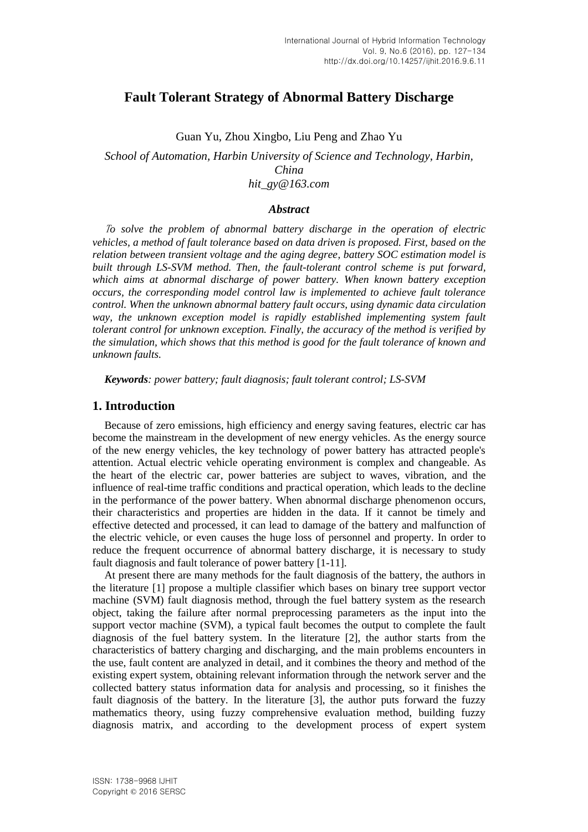# **Fault Tolerant Strategy of Abnormal Battery Discharge**

Guan Yu, Zhou Xingbo, Liu Peng and Zhao Yu

*School of Automation, Harbin University of Science and Technology, Harbin, China hit\_gy@163.com*

### *Abstract*

<sup>T</sup>*o solve the problem of abnormal battery discharge in the operation of electric vehicles, a method of fault tolerance based on data driven is proposed. First, based on the relation between transient voltage and the aging degree, battery SOC estimation model is built through LS-SVM method. Then, the fault-tolerant control scheme is put forward, which aims at abnormal discharge of power battery. When known battery exception occurs, the corresponding model control law is implemented to achieve fault tolerance control. When the unknown abnormal battery fault occurs, using dynamic data circulation way, the unknown exception model is rapidly established implementing system fault tolerant control for unknown exception. Finally, the accuracy of the method is verified by the simulation, which shows that this method is good for the fault tolerance of known and unknown faults.*

*Keywords: power battery; fault diagnosis; fault tolerant control; LS-SVM*

# **1. Introduction**

Because of zero emissions, high efficiency and energy saving features, electric car has become the mainstream in the development of new energy vehicles. As the energy source of the new energy vehicles, the key technology of power battery has attracted people's attention. Actual electric vehicle operating environment is complex and changeable. As the heart of the electric car, power batteries are subject to waves, vibration, and the influence of real-time traffic conditions and practical operation, which leads to the decline in the performance of the power battery. When abnormal discharge phenomenon occurs, their characteristics and properties are hidden in the data. If it cannot be timely and effective detected and processed, it can lead to damage of the battery and malfunction of the electric vehicle, or even causes the huge loss of personnel and property. In order to reduce the frequent occurrence of abnormal battery discharge, it is necessary to study fault diagnosis and fault tolerance of power battery [1-11].

At present there are many methods for the fault diagnosis of the battery, the authors in the literature [1] propose a multiple classifier which bases on binary tree support vector machine (SVM) fault diagnosis method, through the fuel battery system as the research object, taking the failure after normal preprocessing parameters as the input into the support vector machine (SVM), a typical fault becomes the output to complete the fault diagnosis of the fuel battery system. In the literature [2], the author starts from the characteristics of battery charging and discharging, and the main problems encounters in the use, fault content are analyzed in detail, and it combines the theory and method of the existing expert system, obtaining relevant information through the network server and the collected battery status information data for analysis and processing, so it finishes the fault diagnosis of the battery. In the literature [3], the author puts forward the fuzzy mathematics theory, using fuzzy comprehensive evaluation method, building fuzzy diagnosis matrix, and according to the development process of expert system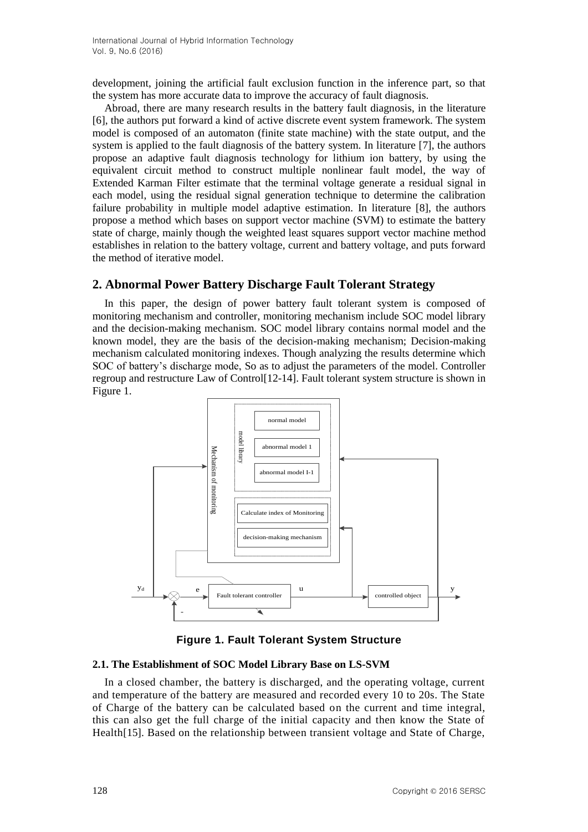development, joining the artificial fault exclusion function in the inference part, so that the system has more accurate data to improve the accuracy of fault diagnosis.

Abroad, there are many research results in the battery fault diagnosis, in the literature [6], the authors put forward a kind of active discrete event system framework. The system model is composed of an automaton (finite state machine) with the state output, and the system is applied to the fault diagnosis of the battery system. In literature [7], the authors propose an adaptive fault diagnosis technology for lithium ion battery, by using the equivalent circuit method to construct multiple nonlinear fault model, the way of Extended Karman Filter estimate that the terminal voltage generate a residual signal in each model, using the residual signal generation technique to determine the calibration failure probability in multiple model adaptive estimation. In literature [8], the authors propose a method which bases on support vector machine (SVM) to estimate the battery state of charge, mainly though the weighted least squares support vector machine method establishes in relation to the battery voltage, current and battery voltage, and puts forward the method of iterative model.

## **2. Abnormal Power Battery Discharge Fault Tolerant Strategy**

In this paper, the design of power battery fault tolerant system is composed of monitoring mechanism and controller, monitoring mechanism include SOC model library and the decision-making mechanism. SOC model library contains normal model and the known model, they are the basis of the decision-making mechanism; Decision-making mechanism calculated monitoring indexes. Though analyzing the results determine which SOC of battery's discharge mode, So as to adjust the parameters of the model. Controller regroup and restructure Law of Control[12-14]. Fault tolerant system structure is shown in Figure 1.



**Figure 1. Fault Tolerant System Structure**

#### **2.1. The Establishment of SOC Model Library Base on LS-SVM**

In a closed chamber, the battery is discharged, and the operating voltage, current and temperature of the battery are measured and recorded every 10 to 20s. The State of Charge of the battery can be calculated based on the current and time integral, this can also get the full charge of the initial capacity and then know the State of Health[15]. Based on the relationship between transient voltage and State of Charge,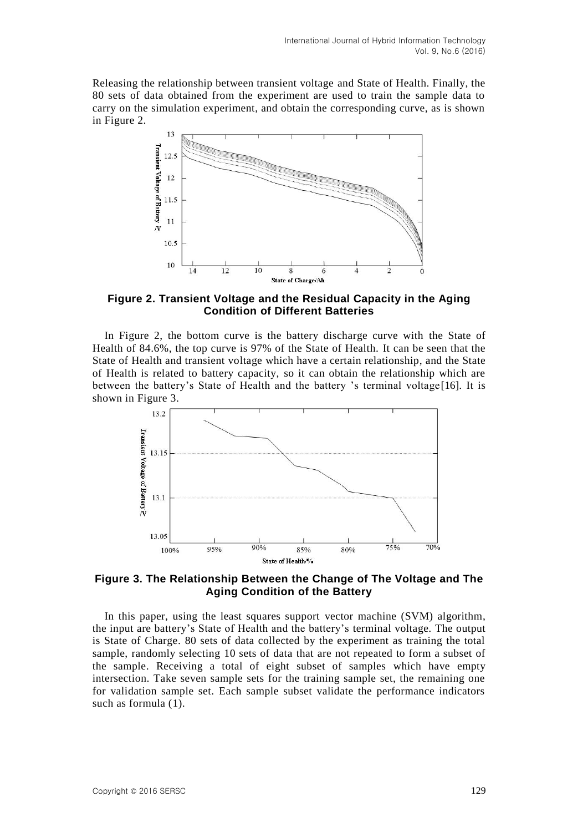Releasing the relationship between transient voltage and State of Health. Finally, the 80 sets of data obtained from the experiment are used to train the sample data to carry on the simulation experiment, and obtain the corresponding curve, as is shown in Figure 2.



**Figure 2. Transient Voltage and the Residual Capacity in the Aging Condition of Different Batteries**

In Figure 2, the bottom curve is the battery discharge curve with the State of Health of 84.6%, the top curve is 97% of the State of Health. It can be seen that the State of Health and transient voltage which have a certain relationship, and the State of Health is related to battery capacity, so it can obtain the relationship which are between the battery's State of Health and the battery 's terminal voltage[16]. It is shown in Figure 3.



**Figure 3. The Relationship Between the Change of The Voltage and The Aging Condition of the Battery**

In this paper, using the least squares support vector machine (SVM) algorithm, the input are battery's State of Health and the battery's terminal voltage. The output is State of Charge. 80 sets of data collected by the experiment as training the total sample, randomly selecting 10 sets of data that are not repeated to form a subset of the sample. Receiving a total of eight subset of samples which have empty intersection. Take seven sample sets for the training sample set, the remaining one for validation sample set. Each sample subset validate the performance indicators such as formula (1).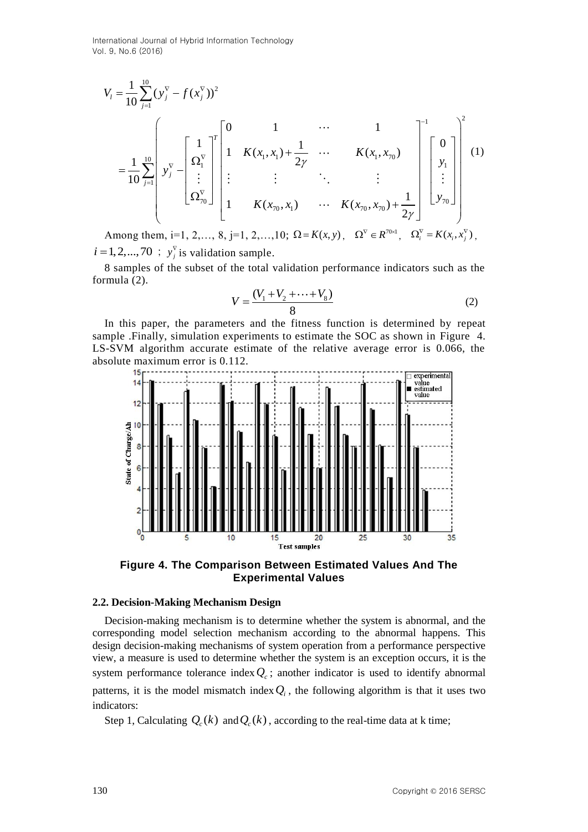International Journal of Hybrid Information Technology Vol. 9, No.6 (2016)

$$
V_{l} = \frac{1}{10} \sum_{j=1}^{10} (y_{j}^{\nabla} - f(x_{j}^{\nabla}))^{2}
$$
  
\n
$$
= \frac{1}{10} \sum_{j=1}^{10} \begin{bmatrix} y_{j}^{\nabla} - \left[ \frac{1}{\Omega_{l}^{\nabla}} \right]^{T} \begin{bmatrix} 0 & 1 & \cdots & 1 \\ 1 & K(x_{1}, x_{1}) + \frac{1}{2\gamma} & \cdots & K(x_{1}, x_{70}) \\ \vdots & \vdots & \vdots & \ddots & \vdots \\ \Omega_{70}^{\nabla} \end{bmatrix}^{T} \begin{bmatrix} 1 & K(x_{1}, x_{1}) + \frac{1}{2\gamma} & \cdots & K(x_{70}, x_{70}) \\ \vdots & \vdots & \ddots & \vdots \\ 1 & K(x_{70}, x_{1}) & \cdots & K(x_{70}, x_{70}) + \frac{1}{2\gamma} \end{bmatrix}^{T} \begin{bmatrix} 0 \\ y_{1} \\ \vdots \\ y_{70} \end{bmatrix}^{2}
$$
  
\nAmong them, i=1, 2, ..., 8, j=1, 2, ..., 10;  $\Omega = K(x, y)$ ,  $\Omega^{\nabla} \in R^{70\times 1}$ ,  $\Omega_{i}^{\nabla} = K(x_{i}, x_{j}^{\nabla})$ ,

 $i = 1, 2, \dots, 70$  ;  $y_j^{\nabla}$  *is validation sample.* 

8 samples of the subset of the total validation performance indicators such as the formula (2).

$$
V = \frac{(V_1 + V_2 + \dots + V_8)}{8}
$$
 (2)

In this paper, the parameters and the fitness function is determined by repeat sample .Finally, simulation experiments to estimate the SOC as shown in Figure 4. LS-SVM algorithm accurate estimate of the relative average error is 0.066, the absolute maximum error is 0.112.



**Figure 4. The Comparison Between Estimated Values And The Experimental Values**

#### **2.2. Decision-Making Mechanism Design**

Decision-making mechanism is to determine whether the system is abnormal, and the corresponding model selection mechanism according to the abnormal happens. This design decision-making mechanisms of system operation from a performance perspective view, a measure is used to determine whether the system is an exception occurs, it is the system performance tolerance index  $Q_c$ ; another indicator is used to identify abnormal patterns, it is the model mismatch index  $Q_i$ , the following algorithm is that it uses two indicators:

Step 1, Calculating  $Q_c(k)$  and  $Q_c(k)$  , according to the real-time data at k time;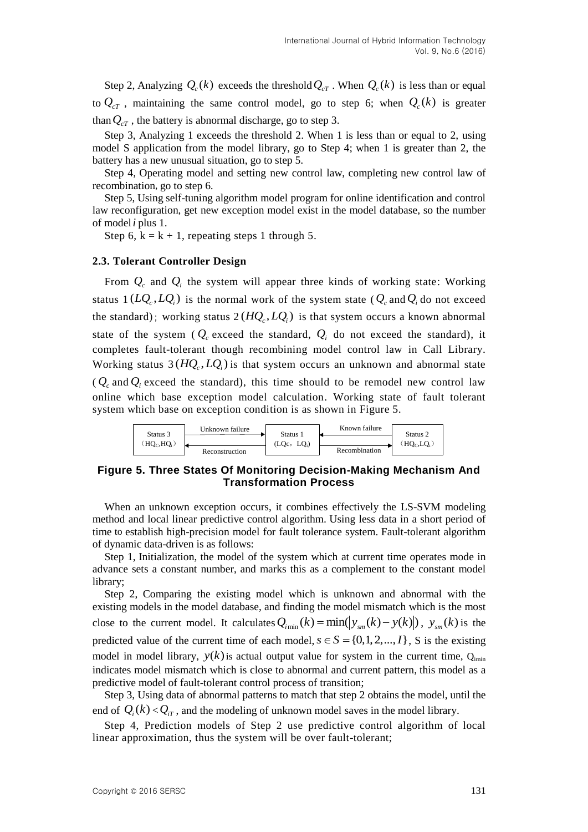Step 2, Analyzing  $Q_c(k)$  exceeds the threshold  $Q_{cT}$ . When  $Q_c(k)$  is less than or equal to  $Q_{cT}$ , maintaining the same control model, go to step 6; when  $Q_c(k)$  is greater than  $Q_{cT}$ , the battery is abnormal discharge, go to step 3.

Step 3, Analyzing 1 exceeds the threshold 2. When 1 is less than or equal to 2, using model S application from the model library, go to Step 4; when 1 is greater than 2, the battery has a new unusual situation, go to step 5.

Step 4, Operating model and setting new control law, completing new control law of recombination, go to step 6.

Step 5, Using self-tuning algorithm model program for online identification and control law reconfiguration, get new exception model exist in the model database, so the number of model *i* plus 1.

Step 6,  $k = k + 1$ , repeating steps 1 through 5.

#### **2.3. Tolerant Controller Design**

From  $Q_c$  and  $Q_i$  the system will appear three kinds of working state: Working status  $1(LQ_c, LQ_i)$  is the normal work of the system state ( $Q_c$  and  $Q_i$  do not exceed the standard); working status  $2(HQ_c, LQ_i)$  is that system occurs a known abnormal state of the system ( $Q_c$  exceed the standard,  $Q_i$  do not exceed the standard), it completes fault-tolerant though recombining model control law in Call Library. Working status  $3(HQ_c, LQ_i)$  is that system occurs an unknown and abnormal state  $(Q_c \text{ and } Q_i \text{ exceed the standard})$ , this time should to be remodel new control law online which base exception model calculation. Working state of fault tolerant system which base on exception condition is as shown in Figure 5.



## **Figure 5. Three States Of Monitoring Decision-Making Mechanism And Transformation Process**

When an unknown exception occurs, it combines effectively the LS-SVM modeling method and local linear predictive control algorithm. Using less data in a short period of time to establish high-precision model for fault tolerance system. Fault-tolerant algorithm of dynamic data-driven is as follows:

Step 1, Initialization, the model of the system which at current time operates mode in advance sets a constant number, and marks this as a complement to the constant model library;

Step 2, Comparing the existing model which is unknown and abnormal with the existing models in the model database, and finding the model mismatch which is the most existing models in the model database, and finding the model mismatch which is the most close to the current model. It calculates  $Q_{i_{\text{min}}}(k) = \min(|y_{sm}(k) - y(k)|)$ ,  $y_{sm}(k)$  is the predicted value of the current time of each model,  $s \in S = \{0, 1, 2, ..., I\}$ , S is the existing model in model library,  $y(k)$  is actual output value for system in the current time,  $Q<sub>imin</sub>$ indicates model mismatch which is close to abnormal and current pattern, this model as a predictive model of fault-tolerant control process of transition;

Step 3, Using data of abnormal patterns to match that step 2 obtains the model, until the end of  $Q_i(k) < Q_{iT}$ , and the modeling of unknown model saves in the model library.

Step 4, Prediction models of Step 2 use predictive control algorithm of local linear approximation, thus the system will be over fault-tolerant;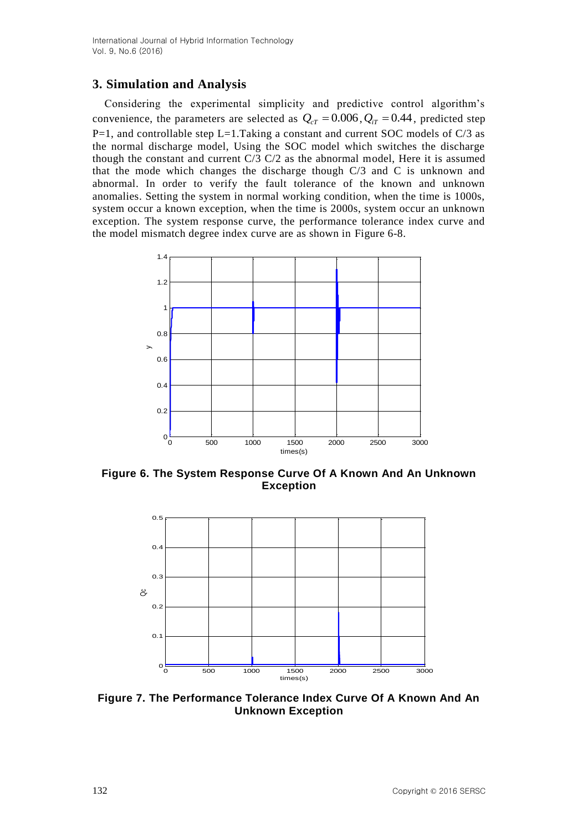# **3. Simulation and Analysis**

Considering the experimental simplicity and predictive control algorithm's convenience, the parameters are selected as  $Q_{cT} = 0.006$ ,  $Q_{iT} = 0.44$ , predicted step  $P=1$ , and controllable step L=1.Taking a constant and current SOC models of C/3 as the normal discharge model, Using the SOC model which switches the discharge though the constant and current C/3 C/2 as the abnormal model, Here it is assumed that the mode which changes the discharge though C/3 and C is unknown and abnormal. In order to verify the fault tolerance of the known and unknown anomalies. Setting the system in normal working condition, when the time is 1000s, system occur a known exception, when the time is 2000s, system occur an unknown exception. The system response curve, the performance tolerance index curve and the model mismatch degree index curve are as shown in Figure 6-8.



**Figure 6. The System Response Curve Of A Known And An Unknown Exception**



**Figure 7. The Performance Tolerance Index Curve Of A Known And An Unknown Exception**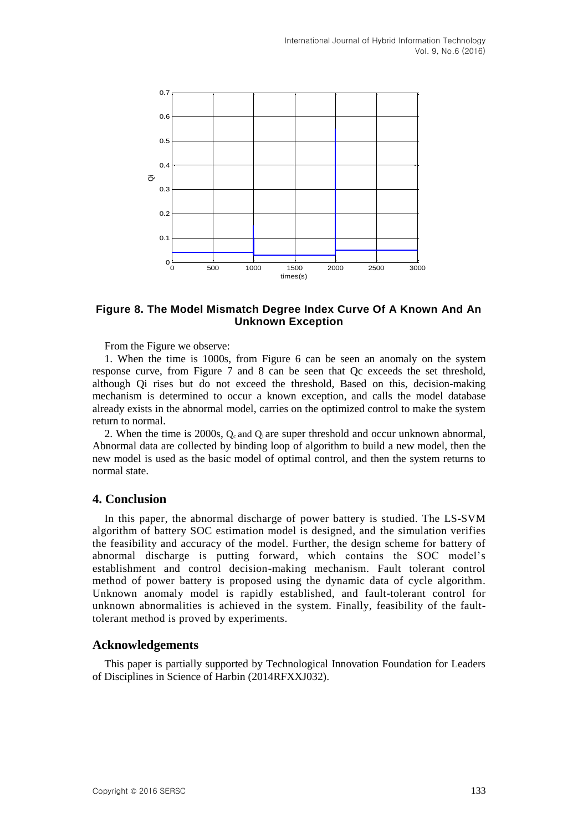

## **Figure 8. The Model Mismatch Degree Index Curve Of A Known And An Unknown Exception**

From the Figure we observe:

1. When the time is 1000s, from Figure 6 can be seen an anomaly on the system response curve, from Figure 7 and 8 can be seen that Qc exceeds the set threshold, although Qi rises but do not exceed the threshold, Based on this, decision-making mechanism is determined to occur a known exception, and calls the model database already exists in the abnormal model, carries on the optimized control to make the system return to normal.

2. When the time is 2000s,  $Q_c$  and  $Q_i$  are super threshold and occur unknown abnormal, Abnormal data are collected by binding loop of algorithm to build a new model, then the new model is used as the basic model of optimal control, and then the system returns to normal state.

### **4. Conclusion**

In this paper, the abnormal discharge of power battery is studied. The LS-SVM algorithm of battery SOC estimation model is designed, and the simulation verifies the feasibility and accuracy of the model. Further, the design scheme for battery of abnormal discharge is putting forward, which contains the SOC model's establishment and control decision-making mechanism. Fault tolerant control method of power battery is proposed using the dynamic data of cycle algorithm. Unknown anomaly model is rapidly established, and fault-tolerant control for unknown abnormalities is achieved in the system. Finally, feasibility of the faulttolerant method is proved by experiments.

# **Acknowledgements**

This paper is partially supported by Technological Innovation Foundation for Leaders of Disciplines in Science of Harbin (2014RFXXJ032).